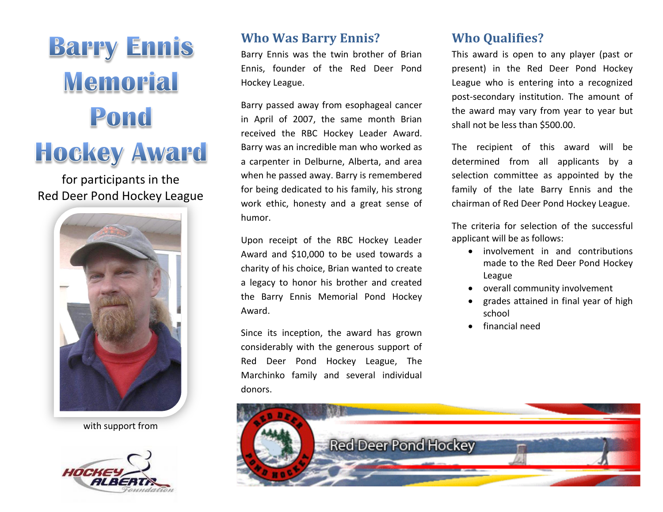

## for participants in the Red Deer Pond Hockey League



with support from



## **Who Was Barry Ennis?**

Barry Ennis was the twin brother of Brian Ennis, founder of the Red Deer Pond Hockey League.

Barry passed away from esophageal cancer in April of 2007, the same month Brian received the RBC Hockey Leader Award. Barry was an incredible man who worked as a carpenter in Delburne, Alberta, and area when he passed away. Barry is remembered for being dedicated to his family, his strong work ethic, honesty and a great sense of humor.

Upon receipt of the RBC Hockey Leader Award and \$10,000 to be used towards a charity of his choice, Brian wanted to create a legacy to honor his brother and created the Barry Ennis Memorial Pond Hockey Award.

Since its inception, the award has grown considerably with the generous support of Red Deer Pond Hockey League, The Marchinko family and several individual donors.

## **Who Qualifies?**

This award is open to any player (past or present) in the Red Deer Pond Hockey League who is entering into a recognized post-secondary institution. The amount of the award may vary from year to year but shall not be less than \$500.00.

The recipient of this award will be determined from all applicants by a selection committee as appointed by the family of the late Barry Ennis and the chairman of Red Deer Pond Hockey League.

The criteria for selection of the successful applicant will be as follows:

- involvement in and contributions made to the Red Deer Pond Hockey League
- overall community involvement
- grades attained in final year of high school
- financial need